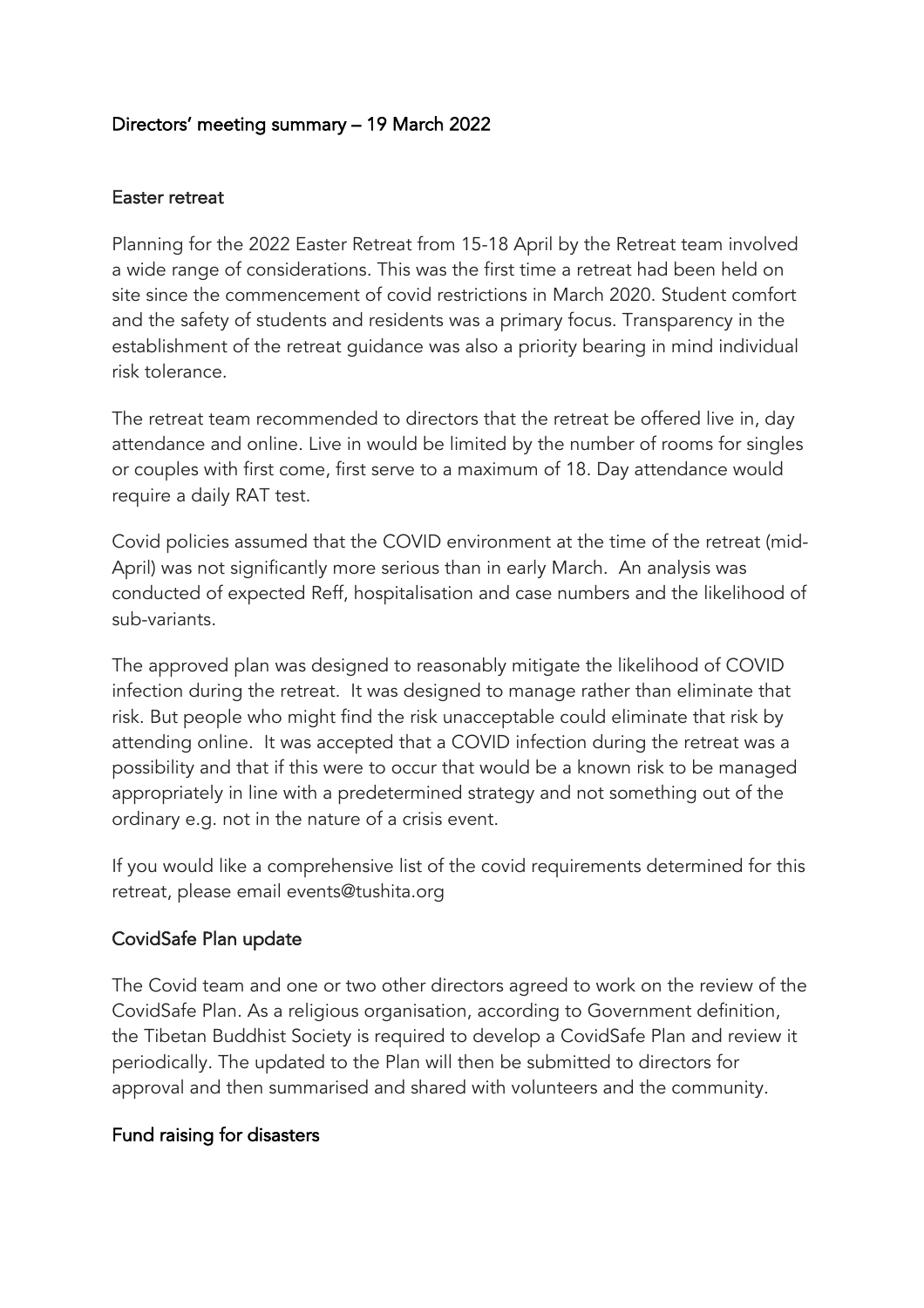# Directors' meeting summary – 19 March 2022

#### Easter retreat

Planning for the 2022 Easter Retreat from 15-18 April by the Retreat team involved a wide range of considerations. This was the first time a retreat had been held on site since the commencement of covid restrictions in March 2020. Student comfort and the safety of students and residents was a primary focus. Transparency in the establishment of the retreat guidance was also a priority bearing in mind individual risk tolerance.

The retreat team recommended to directors that the retreat be offered live in, day attendance and online. Live in would be limited by the number of rooms for singles or couples with first come, first serve to a maximum of 18. Day attendance would require a daily RAT test.

Covid policies assumed that the COVID environment at the time of the retreat (mid-April) was not significantly more serious than in early March. An analysis was conducted of expected Reff, hospitalisation and case numbers and the likelihood of sub-variants.

The approved plan was designed to reasonably mitigate the likelihood of COVID infection during the retreat. It was designed to manage rather than eliminate that risk. But people who might find the risk unacceptable could eliminate that risk by attending online. It was accepted that a COVID infection during the retreat was a possibility and that if this were to occur that would be a known risk to be managed appropriately in line with a predetermined strategy and not something out of the ordinary e.g. not in the nature of a crisis event.

If you would like a comprehensive list of the covid requirements determined for this retreat, please email events@tushita.org

## CovidSafe Plan update

The Covid team and one or two other directors agreed to work on the review of the CovidSafe Plan. As a religious organisation, according to Government definition, the Tibetan Buddhist Society is required to develop a CovidSafe Plan and review it periodically. The updated to the Plan will then be submitted to directors for approval and then summarised and shared with volunteers and the community.

## Fund raising for disasters